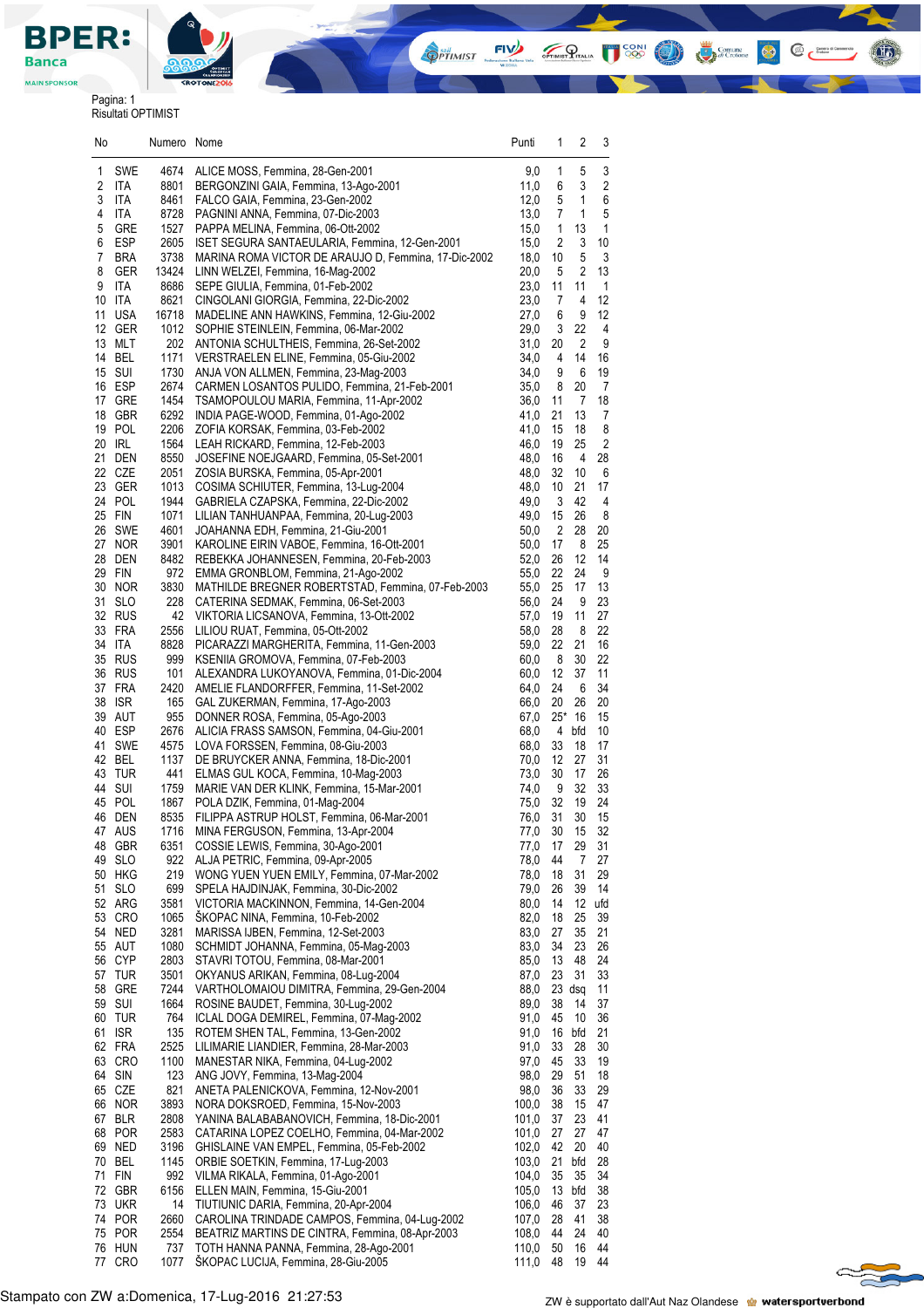

Pagina: 1 Risultati OPTIMIST

| No     |                      | Numero Nome   |                                                                                                   | Punti          | 1                    | 2              | 3              |  |
|--------|----------------------|---------------|---------------------------------------------------------------------------------------------------|----------------|----------------------|----------------|----------------|--|
| 1      | <b>SWE</b>           | 4674          | ALICE MOSS, Femmina, 28-Gen-2001                                                                  | 9,0            | 1                    | 5              | 3              |  |
| 2      | ITA                  | 8801          | BERGONZINI GAIA, Femmina, 13-Ago-2001                                                             | 11,0           | 6                    | 3              | 2              |  |
| 3      | ITA                  | 8461          | FALCO GAIA, Femmina, 23-Gen-2002                                                                  | 12,0           | 5                    | $\mathbf{1}$   | 6              |  |
| 4<br>5 | ITA<br>GRE           | 8728          | PAGNINI ANNA, Femmina, 07-Dic-2003<br>PAPPA MELINA, Femmina, 06-Ott-2002                          | 13,0           | 7                    | 1<br>13        | 5<br>1         |  |
| 6      | <b>ESP</b>           | 1527<br>2605  | ISET SEGURA SANTAEULARIA, Femmina, 12-Gen-2001                                                    | 15,0<br>15,0   | 1<br>2               | 3              | 10             |  |
| 7      | <b>BRA</b>           | 3738          | MARINA ROMA VICTOR DE ARAUJO D, Femmina, 17-Dic-2002                                              | 18,0           | 10                   | 5              | 3              |  |
| 8      | GER                  | 13424         | LINN WELZEI, Femmina, 16-Mag-2002                                                                 | 20,0           | 5                    | 2              | 13             |  |
| 9      | ITA                  | 8686          | SEPE GIULIA, Femmina, 01-Feb-2002                                                                 | 23,0           | 11                   | 11             | 1              |  |
| 10     | ITA                  | 8621          | CINGOLANI GIORGIA, Femmina, 22-Dic-2002                                                           | 23,0           | 7                    | 4              | 12             |  |
| 11     | <b>USA</b><br>12 GER | 16718<br>1012 | MADELINE ANN HAWKINS, Femmina, 12-Giu-2002<br>SOPHIE STEINLEIN, Femmina, 06-Mar-2002              | 27,0<br>29,0   | 6<br>3               | 9<br>22        | 12<br>4        |  |
|        | 13 MLT               | 202           | ANTONIA SCHULTHEIS, Femmina, 26-Set-2002                                                          | 31,0           | 20                   | $\overline{c}$ | 9              |  |
|        | 14 BEL               | 1171          | VERSTRAELEN ELINE, Femmina, 05-Giu-2002                                                           | 34,0           | 4                    | 14             | 16             |  |
|        | 15 SUI               | 1730          | ANJA VON ALLMEN, Femmina, 23-Mag-2003                                                             | 34,0           | 9                    | 6              | 19             |  |
|        | 16 ESP               | 2674          | CARMEN LOSANTOS PULIDO, Femmina, 21-Feb-2001                                                      | 35,0           | 8                    | 20             | $\overline{7}$ |  |
|        | 17 GRE               | 1454          | TSAMOPOULOU MARIA, Femmina, 11-Apr-2002                                                           | 36,0           | 11                   | $\overline{7}$ | 18             |  |
|        | 18 GBR<br>19 POL     | 6292<br>2206  | INDIA PAGE-WOOD, Femmina, 01-Ago-2002<br>ZOFIA KORSAK, Femmina, 03-Feb-2002                       | 41,0<br>41,0   | 21<br>15             | 13<br>18       | 7<br>8         |  |
|        | 20 IRL               | 1564          | LEAH RICKARD, Femmina, 12-Feb-2003                                                                | 46,0           | 19                   | 25             | $\sqrt{2}$     |  |
|        | 21 DEN               | 8550          | JOSEFINE NOEJGAARD, Femmina, 05-Set-2001                                                          | 48,0           | 16                   | 4              | 28             |  |
|        | 22 CZE               | 2051          | ZOSIA BURSKA, Femmina, 05-Apr-2001                                                                | 48,0           | 32                   | 10             | 6              |  |
| 23     | GER                  | 1013          | COSIMA SCHIUTER, Femmina, 13-Lug-2004                                                             | 48,0           | 10                   | 21             | 17             |  |
|        | 24 POL               | 1944          | GABRIELA CZAPSKA, Femmina, 22-Dic-2002                                                            | 49,0           | 3                    | 42             | 4              |  |
|        | 25 FIN<br>26 SWE     | 1071<br>4601  | LILIAN TANHUANPAA, Femmina, 20-Lug-2003<br>JOAHANNA EDH, Femmina, 21-Giu-2001                     | 49,0<br>50,0   | 15<br>$\overline{2}$ | 26<br>28       | 8<br>20        |  |
|        | 27 NOR               | 3901          | KAROLINE EIRIN VABOE, Femmina, 16-Ott-2001                                                        | 50,0           | 17                   | 8              | 25             |  |
|        | 28 DEN               | 8482          | REBEKKA JOHANNESEN, Femmina, 20-Feb-2003                                                          | 52,0           | 26                   | 12             | 14             |  |
|        | 29 FIN               | 972           | EMMA GRONBLOM, Femmina, 21-Ago-2002                                                               | 55,0           | 22                   | 24             | 9              |  |
|        | 30 NOR               | 3830          | MATHILDE BREGNER ROBERTSTAD, Femmina, 07-Feb-2003                                                 | 55,0           | 25                   | 17             | 13             |  |
|        | 31 SLO               | 228           | CATERINA SEDMAK, Femmina, 06-Set-2003                                                             | 56,0           | 24                   | 9              | 23             |  |
|        | 32 RUS<br>33 FRA     | 42            | VIKTORIA LICSANOVA, Femmina, 13-Ott-2002                                                          | 57,0<br>58,0   | 19                   | 11             | 27<br>22       |  |
|        | 34 ITA               | 2556<br>8828  | LILIOU RUAT, Femmina, 05-Ott-2002<br>PICARAZZI MARGHERITA, Femmina, 11-Gen-2003                   | 59,0           | 28<br>22             | 8<br>21        | 16             |  |
|        | 35 RUS               | 999           | KSENIIA GROMOVA, Femmina, 07-Feb-2003                                                             | 60,0           | 8                    | 30             | 22             |  |
|        | 36 RUS               | 101           | ALEXANDRA LUKOYANOVA, Femmina, 01-Dic-2004                                                        | 60,0           | 12                   | 37             | 11             |  |
|        | 37 FRA               | 2420          | AMELIE FLANDORFFER, Femmina, 11-Set-2002                                                          | 64,0           | 24                   | 6              | 34             |  |
| 38     | <b>ISR</b>           | 165           | GAL ZUKERMAN, Femmina, 17-Ago-2003                                                                | 66,0           | 20                   | 26             | 20             |  |
|        | 39 AUT<br>40 ESP     | 955<br>2676   | DONNER ROSA, Femmina, 05-Ago-2003                                                                 | 67,0<br>68,0   | 25*<br>4             | 16             | 15             |  |
|        | 41 SWE               | 4575          | ALICIA FRASS SAMSON, Femmina, 04-Giu-2001<br>LOVA FORSSEN, Femmina, 08-Giu-2003                   | 68,0           | 33                   | bfd<br>18      | 10<br>17       |  |
|        | 42 BEL               | 1137          | DE BRUYCKER ANNA, Femmina, 18-Dic-2001                                                            | 70,0           | 12                   | 27             | 31             |  |
|        | 43 TUR               | 441           | ELMAS GUL KOCA, Femmina, 10-Mag-2003                                                              | 73,0           | 30                   | 17             | 26             |  |
|        | 44 SUI               | 1759          | MARIE VAN DER KLINK, Femmina, 15-Mar-2001                                                         | 74,0           | 9                    | 32             | 33             |  |
|        | 45 POL               | 1867          | POLA DZIK, Femmina, 01-Mag-2004                                                                   | 75,0           | 32                   | 19             | 24             |  |
|        | 46 DEN<br>47 AUS     | 8535<br>1716  | FILIPPA ASTRUP HOLST, Femmina, 06-Mar-2001<br>MINA FERGUSON, Femmina, 13-Apr-2004                 | 76,0<br>77,0   | 31<br>$30\,$         | 30<br>15       | 15<br>32       |  |
|        | 48 GBR               | 6351          | COSSIE LEWIS, Femmina, 30-Ago-2001                                                                | 77,0           | 17                   | 29             | 31             |  |
|        | 49 SLO               | 922           | ALJA PETRIC, Femmina, 09-Apr-2005                                                                 | 78,0           | 44                   | 7              | 27             |  |
|        | 50 HKG               | 219           | WONG YUEN YUEN EMILY, Femmina, 07-Mar-2002                                                        | 78,0           | 18                   | 31             | 29             |  |
| 51     | <b>SLO</b>           | 699           | SPELA HAJDINJAK, Femmina, 30-Dic-2002                                                             | 79,0           | 26                   | 39             | 14             |  |
|        | 52 ARG               | 3581          | VICTORIA MACKINNON, Femmina, 14-Gen-2004                                                          | 80,0           | 14                   | 12             | ufd            |  |
|        | 53 CRO<br>54 NED     | 1065<br>3281  | ŠKOPAC NINA, Femmina, 10-Feb-2002<br>MARISSA IJBEN, Femmina, 12-Set-2003                          | 82,0<br>83,0   | 18<br>27             | 25<br>35       | 39<br>21       |  |
|        | 55 AUT               | 1080          | SCHMIDT JOHANNA, Femmina, 05-Mag-2003                                                             | 83,0           | 34                   | 23             | 26             |  |
|        | 56 CYP               | 2803          | STAVRI TOTOU, Femmina, 08-Mar-2001                                                                | 85,0           | 13                   | 48             | 24             |  |
|        | 57 TUR               | 3501          | OKYANUS ARIKAN, Femmina, 08-Lug-2004                                                              | 87,0           | 23                   | 31             | 33             |  |
|        | 58 GRE               | 7244          | VARTHOLOMAIOU DIMITRA, Femmina, 29-Gen-2004                                                       | 88,0           | 23                   | dsg            | 11             |  |
|        | 59 SUI               | 1664          | ROSINE BAUDET, Femmina, 30-Lug-2002                                                               | 89,0           | 38                   | 14             | 37             |  |
|        | 60 TUR<br>61 ISR     | 764<br>135    | ICLAL DOGA DEMIREL, Femmina, 07-Mag-2002<br>ROTEM SHEN TAL, Femmina, 13-Gen-2002                  | 91,0<br>91,0   | 45<br>16             | 10<br>bfd      | 36<br>21       |  |
|        | 62 FRA               | 2525          | LILIMARIE LIANDIER, Femmina, 28-Mar-2003                                                          | 91,0           | 33                   | 28             | 30             |  |
|        | 63 CRO               | 1100          | MANESTAR NIKA, Femmina, 04-Lug-2002                                                               | 97,0           | 45                   | 33             | 19             |  |
|        | 64 SIN               | 123           | ANG JOVY, Femmina, 13-Mag-2004                                                                    | 98,0           | 29                   | 51             | 18             |  |
|        | 65 CZE               | 821           | ANETA PALENICKOVA, Femmina, 12-Nov-2001                                                           | 98,0           | 36                   | 33             | 29             |  |
|        | 66 NOR               | 3893          | NORA DOKSROED, Femmina, 15-Nov-2003                                                               | 100,0          | 38                   | 15             | 47             |  |
|        | 67 BLR<br>68 POR     | 2808<br>2583  | YANINA BALABABANOVICH, Femmina, 18-Dic-2001<br>CATARINA LOPEZ COELHO, Femmina, 04-Mar-2002        | 101,0<br>101,0 | 37<br>27             | 23<br>27       | 41<br>47       |  |
|        | 69 NED               | 3196          | GHISLAINE VAN EMPEL, Femmina, 05-Feb-2002                                                         | 102,0          | 42                   | 20             | 40             |  |
|        | 70 BEL               | 1145          | ORBIE SOETKIN, Femmina, 17-Lug-2003                                                               | 103,0          | 21                   | bfd            | 28             |  |
|        | 71 FIN               | 992           | VILMA RIKALA, Femmina, 01-Ago-2001                                                                | 104,0          | 35                   | 35             | 34             |  |
|        | 72 GBR               | 6156          | ELLEN MAIN, Femmina, 15-Giu-2001                                                                  | 105,0          | 13                   | bfd            | 38             |  |
| 73     | UKR                  | 14            | TIUTIUNIC DARIA, Femmina, 20-Apr-2004                                                             | 106,0          | 46                   | 37             | 23             |  |
|        | 74 POR<br>75 POR     | 2660<br>2554  | CAROLINA TRINDADE CAMPOS, Femmina, 04-Lug-2002<br>BEATRIZ MARTINS DE CINTRA, Femmina, 08-Apr-2003 | 107,0<br>108,0 | 28<br>44             | 41<br>24       | 38<br>40       |  |
|        | 76 HUN               | 737           | TOTH HANNA PANNA, Femmina, 28-Ago-2001                                                            | 110,0          | 50                   | 16             | 44             |  |
| 77     | <b>CRO</b>           | 1077          | ŠKOPAC LUCIJA, Femmina, 28-Giu-2005                                                               | 111,0          | 48                   | 19             | 44             |  |

**OPTIMIST** 

**THE POST OF STRAIGHT CONTROL** 

 $\left( 1$